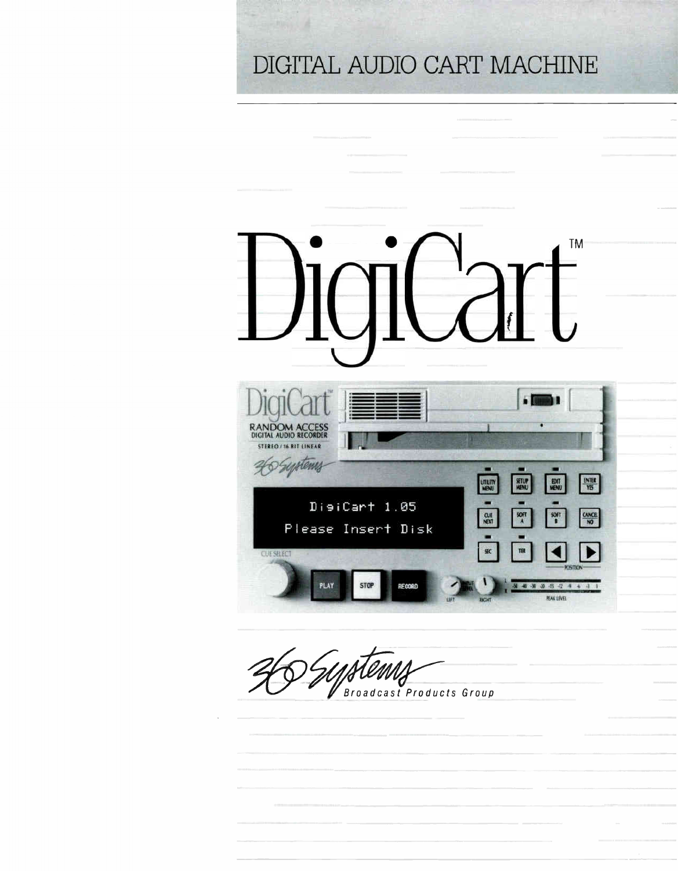### DIGITAL AUDIO CART MACHINE



Broadcast Products Group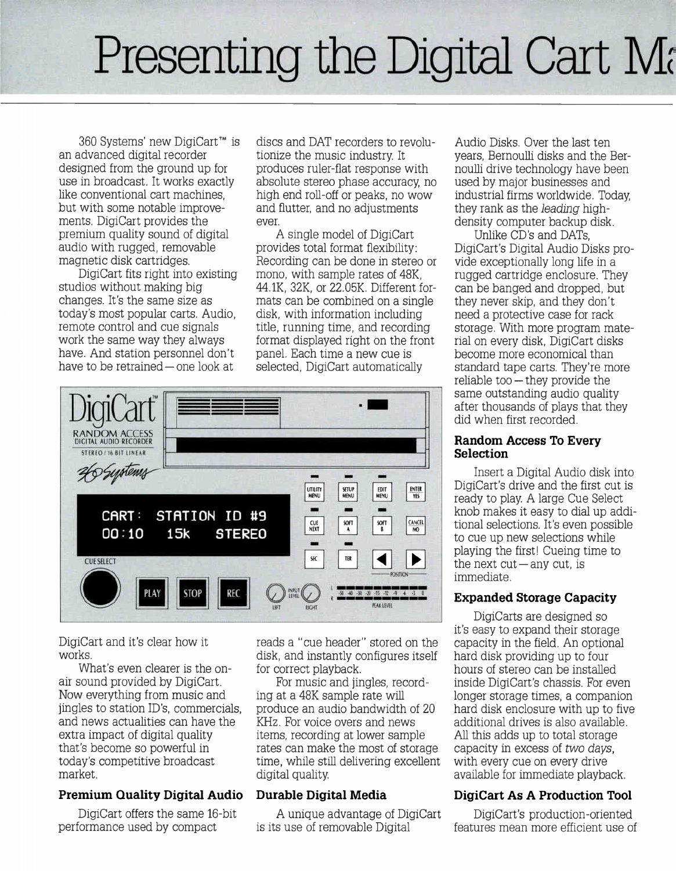## Presenting the Digital Cart Ma

360 Systems' new DigiCart<sup>™</sup> is an advanced digital recorder designed from the ground up for use in broadcast. It works exactly like conventional cart machines, but with some notable improvements. DigiCart provides the premium quality sound of digital audio with rugged, removable magnetic disk cartridges.

DigiCart fits right into existing studios without making big changes. It's the same size as today's most popular carts. Audio, remote control and cue signals work the same way they always have. And station personnel don't have to be retrained— one look at

discs and DAT recorders to revolutionize the music industry. It produces ruler-flat response with absolute stereo phase accuracy, no high end roll-off or peaks, no wow and flutter, and no adjustments ever.

A single model of DigiCart provides total format flexibility: Recording can be done in stereo or mono, with sample rates of 48K, 44.1K, 32K, or 22.05K. Different formats can be combined on a single disk, with information including title, running time, and recording format displayed right on the front panel. Each time a new cue is selected, DigiCart automatically



DigiCart and it's clear how it works.

What's even clearer is the onair sound provided by DigiCart. Now everything from music and jingles to station ID's, commercials, and news actualities can have the extra impact of digital quality that's become so powerful in today's competitive broadcast market.

### Premium Quality Digital Audio

DigiCart offers the same 16-bit performance used by compact

reads a "cue header" stored on the disk, and instantly configures itself for correct playback.

For music and jingles, recording at a 48K sample rate will produce an audio bandwidth of 20 KHz. For voice overs and news items, recording at lower sample rates can make the most of storage time, while still delivering excellent digital quality.

#### Durable Digital Media

A unique advantage of DigiCart is its use of removable Digital

Audio Disks. Over the last ten years, Bernoulli disks and the Bernoulli drive technology have been used by major businesses and industrial firms worldwide. Today, they rank as the leading highdensity computer backup disk.

Unlike CD's and DATs, DigiCart's Digital Audio Disks provide exceptionally long life in a rugged cartridge enclosure. They can be banged and dropped, but they never skip, and they don't need a protective case for rack storage. With more program material on every disk, DigiCart disks become more economical than standard tape carts. They're more reliable too— they provide the same outstanding audio quality after thousands of plays that they did when first recorded.

#### Random Access To Every Selection

Insert a Digital Audio disk into DigiCart's drive and the first cut is ready to play. A large Cue Select knob makes it easy to dial up additional selections. It's even possible to cue up new selections while playing the first! Cueing time to the next cut—any cut, is immediate.

### Expanded Storage Capacity

DigiCarts are designed so it's easy to expand their storage capacity in the field. An optional hard disk providing up to four hours of stereo can be installed inside DigiCart's chassis. For even longer storage times, a companion hard disk enclosure with up to five additional drives is also available. All this adds up to total storage capacity in excess of two days, with every cue on every drive available for immediate playback.

### DigiCart As A Production Tool

DigiCart's production-oriented features mean more efficient use of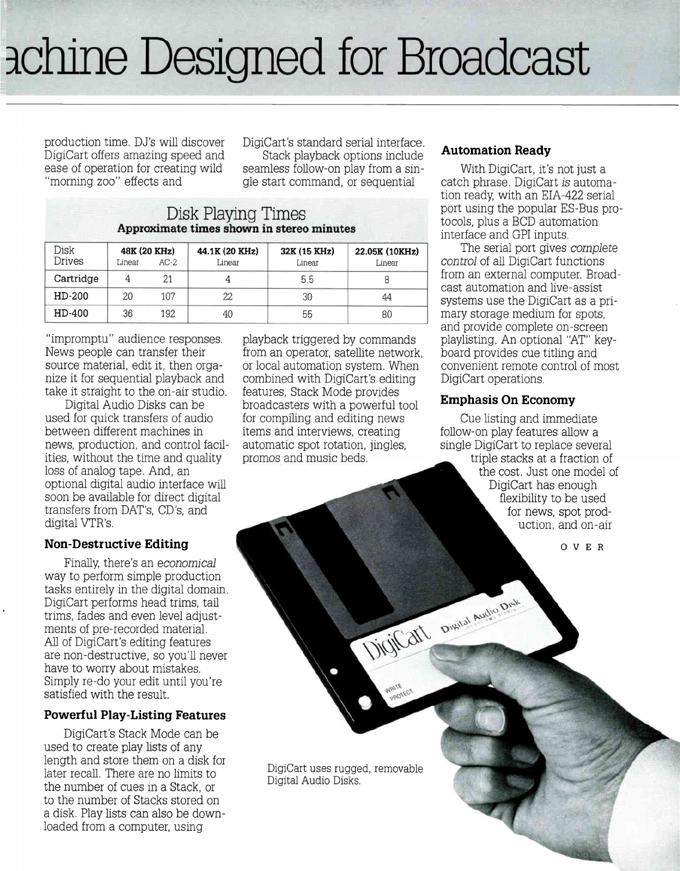# àchine Designed for Broadcast

production time. DJ's will discover DigiCart offers amazing speed and ease of operation for creating wild "morning zoo" effects and

DigiCart's standard serial interface. Stack playback options include seamless follow-on play from a single start command, or sequential

| Disk Playing Times                        |
|-------------------------------------------|
| Approximate times shown in stereo minutes |
|                                           |

| Disk<br>Drives | Linear | 48K (20 KHz)<br>$AC-2$ | 44.1K (20 KHz)<br>Linear | 32K (15 KHz)<br>Linear | 22.05K (10KHz)<br>Linear |
|----------------|--------|------------------------|--------------------------|------------------------|--------------------------|
| Cartridge      |        | 21                     |                          | 5.5                    |                          |
| HD-200         | 20     | 107                    | 22                       | 30                     | 44                       |
| HD-400         | 36     | 192                    | 40                       | 55                     | 80                       |

"impromptu" audience responses. News people can transfer their source material, edit it, then organize it for sequential playback and take it straight to the on-air studio.

Digital Audio Disks can be used for quick transfers of audio between different machines in news, production, and control facilities, without the time and quality loss of analog tape. And, an optional digital audio interface will soon be available for direct digital transfers from DAT's, CD's, and digital VTR's.

#### Non-Destructive Editing

Finally, there's an economical way to perform simple production tasks entirely in the digital domain. DigiCart performs head trims, tail trims, fades and even level adjustments of pre-recorded material. All of DigiCart's editing features are non-destructive, so you'll never have to worry about mistakes. Simply re-do your edit until you're satisfied with the result.

#### Powerful Play-Listing Features

DigiCart's Stack Mode can be used to create play lists of any length and store them on a disk for later recall. There are no limits to the number of cues in a Stack, or to the number of Stacks stored on disk. Play lists can also be downloaded from a computer, using

playback triggered by commands from an operator, satellite network, or local automation system. When combined with DigiCart's editing features, Stack Mode provides broadcasters with a powerful tool for compiling and editing news items and interviews, creating automatic spot rotation, jingles, promos and music beds.

#### Automation Ready

With DigiCart, it's not just a catch phrase. DigiCart is automation ready, with an EIA-422 serial port using the popular ES-Bus protocols, plus a BCD automation interface and GPI inputs.

The serial port gives complete control of all DigiCart functions from an external computer. Broadcast automation and live-assist systems use the DigiCart as a primary storage medium for spots, and provide complete on-screen playlisting. An optional "AT" keyboard provides cue titling and convenient remote control of most DigiCart operations.

#### Emphasis On Economy

Digital Digital August Disk

**PADTECT** 

Cue listing and immediate follow-on play features allow a single DigiCart to replace several triple stacks at a fraction of the cost. Just one model of DigiCart has enough flexibility to be used for news, spot production, and on-air

OVER

DigiCart uses rugged, removable Digital Audio Disks.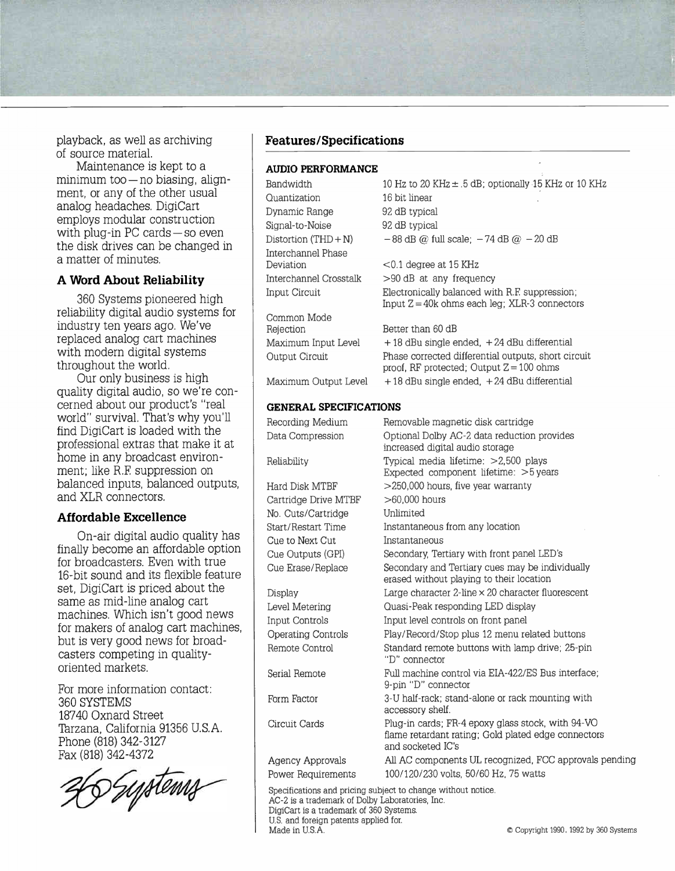playback, as well as archiving  $\blacksquare$  **Features/Specifications** of source material.

Maintenance is kept to a minimum too— no biasing, alignment, or any of the other usual analog headaches. DigiCart employs modular construction with plug-in PC cards — so even the disk drives can be changed in a matter of minutes.

#### A Word About Reliability

360 Systems pioneered high reliability digital audio systems for industry ten years ago. We've replaced analog cart machines with modern digital systems throughout the world.

Our only business is high quality digital audio, so we're concerned about our product's "real world" survival. That's why you'll find DigiCart is loaded with the professional extras that make it at home in any broadcast environment; like R.F. suppression on balanced inputs, balanced outputs, and XLR connectors.

#### Affordable Excellence

On-air digital audio quality has finally become an affordable option for broadcasters. Even with true 16-bit sound and its flexible feature set. DigiCart is priced about the same as mid-line analog cart machines. Which isn't good news for makers of analog cart machines, but is very good news for broadcasters competing in qualityoriented markets.

For more information contact: 360 SYSTEMS 18740 Oxnard Street Tarzana, California 91356 U.S.A. Phone (818) 342-3127 Fax (818) 342-4372

6 *Tystems* 

#### AUDIO PERFORMANCE

| Bandwidth                     | 10 Hz to 20 KHz ± .5 dB; optionally 15 KHz or 10 KHz                                                                          |
|-------------------------------|-------------------------------------------------------------------------------------------------------------------------------|
| Quantization                  | 16 bit linear                                                                                                                 |
| Dynamic Range                 | 92 dB typical                                                                                                                 |
| Signal-to-Noise               | 92 dB typical                                                                                                                 |
| Distortion $(THD + N)$        | $-88$ dB @ full scale; $-74$ dB @ $-20$ dB                                                                                    |
| Interchannel Phase            |                                                                                                                               |
| Deviation                     | $<$ 0.1 degree at 15 KHz                                                                                                      |
| Interchannel Crosstalk        | >90 dB at any frequency                                                                                                       |
| <b>Input Circuit</b>          | Electronically balanced with R.F. suppression;<br>Input $Z = 40k$ ohms each leg; XLR-3 connectors                             |
| Common Mode                   |                                                                                                                               |
| Rejection                     | Better than 60 dB                                                                                                             |
| Maximum Input Level           | $+18$ dBu single ended, $+24$ dBu differential                                                                                |
| Output Circuit                | Phase corrected differential outputs, short circuit<br>proof, RF protected; Output $Z = 100$ ohms                             |
| Maximum Output Level          | $+18$ dBu single ended, $+24$ dBu differential                                                                                |
| <b>GENERAL SPECIFICATIONS</b> |                                                                                                                               |
| Recording Medium              | Removable magnetic disk cartridge                                                                                             |
| Data Compression              | Optional Dolby AC-2 data reduction provides<br>increased digital audio storage                                                |
| Reliability                   | Typical media lifetime: >2,500 plays<br>Expected component lifetime: >5 years                                                 |
| Hard Disk MTBF                | >250,000 hours, five year warranty                                                                                            |
| Cartridge Drive MTBF          | $>60,000$ hours                                                                                                               |
| No. Cuts/Cartridge            | Unlimited                                                                                                                     |
| <b>Start/Restart Time</b>     | Instantaneous from any location                                                                                               |
| Cue to Next Cut               | Instantaneous                                                                                                                 |
| Cue Outputs (GPI)             | Secondary, Tertiary with front panel LED's                                                                                    |
| Cue Erase/Replace             | Secondary and Tertiary cues may be individually<br>erased without playing to their location                                   |
| Display                       | Large character $2$ -line $\times$ 20 character fluorescent                                                                   |
| Level Metering                | Quasi-Peak responding LED display                                                                                             |
| Input Controls                | Input level controls on front panel                                                                                           |
| <b>Operating Controls</b>     | Play/Record/Stop plus 12 menu related buttons                                                                                 |
| Remote Control                | Standard remote buttons with lamp drive; 25-pin<br>"D" connector                                                              |
| Serial Remote                 | Full machine control via EIA-422/ES Bus interface;<br>9-pin "D" connector                                                     |
| Form Factor                   | 3-U half-rack; stand-alone or rack mounting with<br>accessory shelf.                                                          |
| Circuit Cards                 | Plug-in cards; FR-4 epoxy glass stock, with 94-VO<br>flame retardant rating; Gold plated edge connectors<br>and socketed IC's |
| Agency Approvals              | All AC components UL recognized, FCC approvals pending                                                                        |
| Power Requirements            | 100/120/230 volts, 50/60 Hz, 75 watts                                                                                         |
|                               |                                                                                                                               |

Specifications and pricing subject to change without notice. AC-2 is a trademark of Dolby Laboratories, Inc. DigiCart is a trademark of 360 Systems. U.S. and foreign patents applied for. Made in U.S.A. **Example 20** Copyright 1990, 1992 by 360 Systems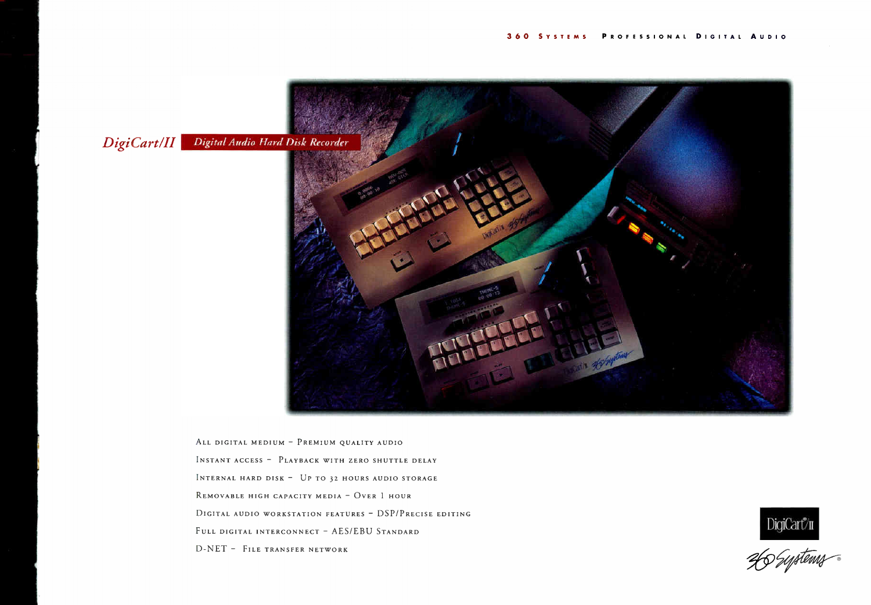

ALL DIGITAL MEDIUM - PREMIUM QUALITY AUDIO INSTANT ACCESS - PLAYBACK WITH ZERO SHUTTLE DELAY INTERNAL HARD DISK  $-$  UP TO 32 HOURS AUDIO STORAGE REMOVABLE HIGH CAPACITY MEDIA - OVER 1 HOUR DIGITAL AUDIO WORKSTATION FEATURES - DSP/PRECISE EDITING FULL DIGITAL INTERCONNECT - AES/EBU STANDARD D-NET - FILE TRANSFER NETWORK



DigiCart<sup>y</sup>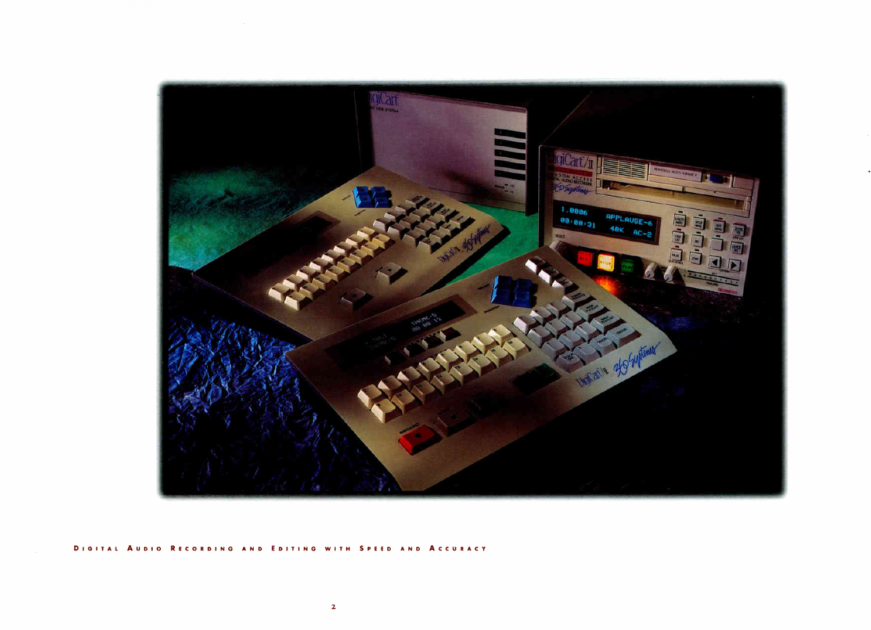

#### DIGITAL AUDIO RECORDING AND EDITING WITH SPEED AND ACCURACY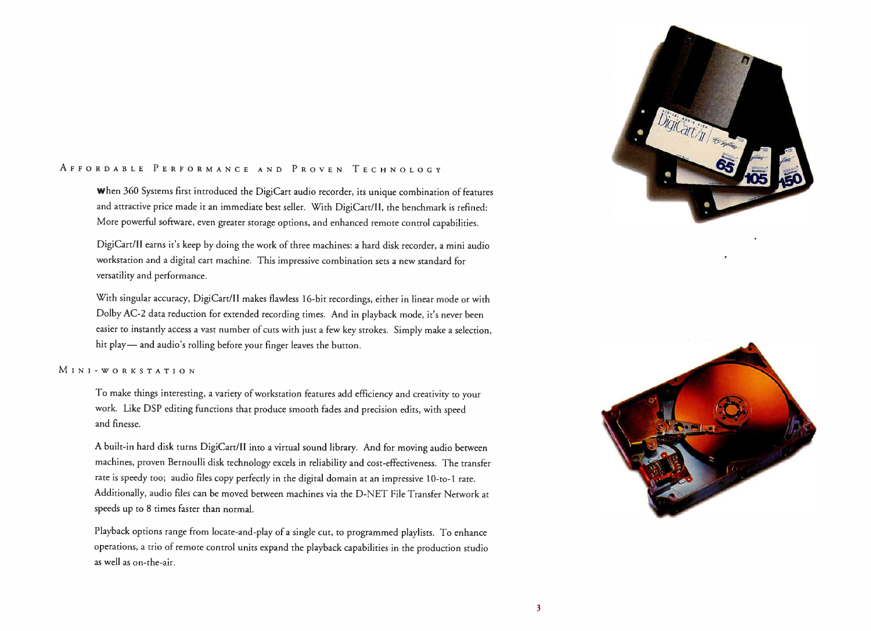#### AFFORDABLE PERFORMANCE AND PROVEN TECHNOLOGY

When 360 Systems first introduced the DigiCart audio recorder, its unique combination of features and attractive price made it an immediate best seller. With DigiCart/II, the benchmark is refined: More powerful software, even greater storage options, and enhanced remote control capabilities.

DigiCart/II earns it's keep by doing the work of three machines: a hard disk recorder, a mini audio workstation and a digital cart machine. This impressive combination sets a new standard for versatility and performance.

With singular accuracy, DigiCart/II makes flawless 16-bit recordings, either in linear mode or with Dolby AC-2 data reduction for extended recording times. And in playback mode, it's never been easier to instantly access a vast number of cuts with just a few key strokes. Simply make a selection, hit play— and audio's rolling before your finger leaves the button.

#### INI-WORKSTATION

To make things interesting, a variety of workstation features add efficiency and creativity to your work. Like DSP editing functions that produce smooth fades and precision edits, with speed and finesse.

A built-in hard disk turns DigiCart/II into a virtual sound library. And for moving audio between machines, proven Bernoulli disk technology excels in reliability and cost-effectiveness. The transfer rate is speedy too; audio files copy perfectly in the digital domain at an impressive 10-to-1 rate. Additionally, audio files can be moved between machines via the D-NET File Transfer Network at speeds up to 8 times faster than normal.

Playback options range from locate-and-play of a single cut, to programmed playlists. To enhance operations, a trio of remote control units expand the playback capabilities in the production studio as well as on-the-air.



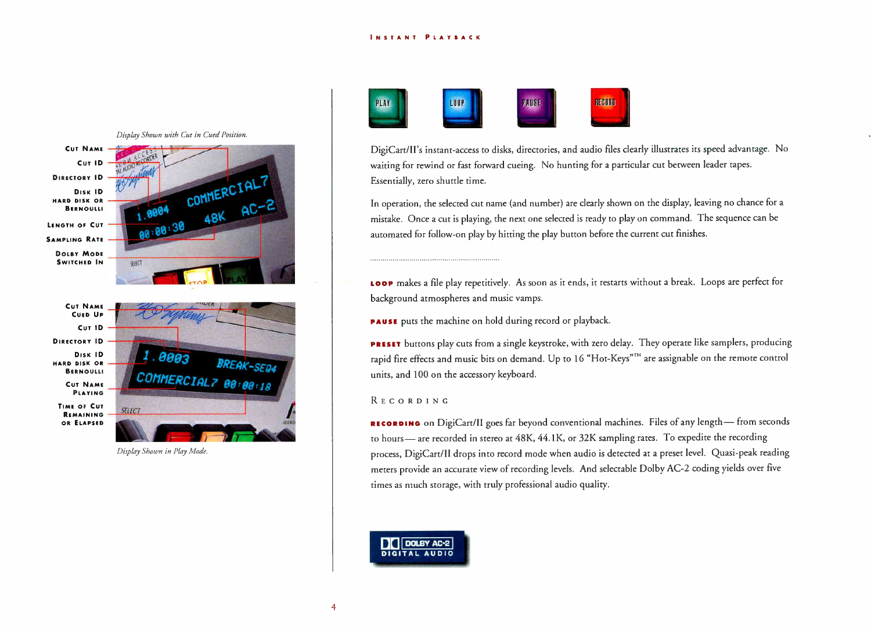

Display Shown in Play Mode.



DigiCart/II's instant-access to disks, directories, and audio files clearly illustrates its speed advantage. No waiting for rewind or fast forward cueing. No hunting for a particular cut between leader tapes. Essentially, zero shuttle time.

In operation, the selected cut name (and number) are clearly shown on the display, leaving no chance for a mistake. Once a cut is playing, the next one selected is ready to play on command. The sequence can be automated for follow-on play by hitting the play button before the current cut finishes.

LOOP makes a file play repetitively. As soon as it ends, it restarts without a break. Loops are perfect for background atmospheres and music vamps.

PAUSE puts the machine on hold during record or playback.

PRESET buttons play cuts from a single keystroke, with zero delay. They operate like samplers, producing rapid fire effects and music bits on demand. Up to 16 "Hot-Keys"<sup>™</sup> are assignable on the remote control units, and 100 on the accessory keyboard.

#### **RECORDING**

RECORDING on DigiCart/II goes far beyond conventional machines. Files of any length— from seconds to hours— are recorded in stereo at 48K, 44.1K, or 32K sampling rates. To expedite the recording process, DigiCart/II drops into record mode when audio is detected at a preset level. Quasi-peak reading meters provide an accurate view of recording levels. And selectable Dolby AC-2 coding yields over five times as much storage, with truly professional audio quality.

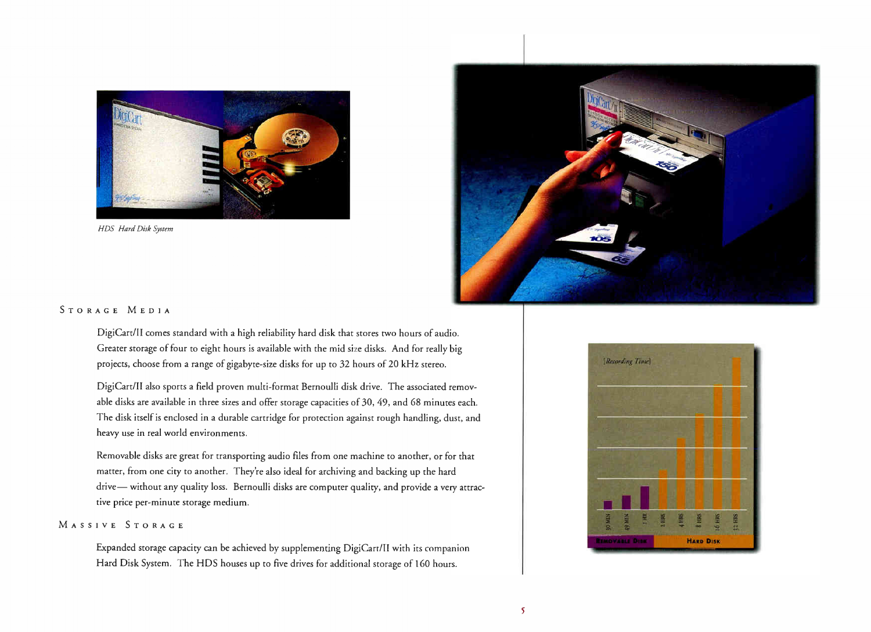

HDS Hard Disk System



#### STORAGE MEDIA

DigiCart/II comes standard with a high reliability hard disk that stores two hours of audio. Greater storage of four to eight hours is available with the mid size disks. And for really big projects, choose from a range of gigabyte-size disks for up to 32 hours of 20 kHz stereo.

DigiCart/II also sports a field proven multi-format Bernoulli disk drive. The associated removable disks are available in three sizes and offer storage capacities of 30, 49, and 68 minutes each. The disk itself is enclosed in a durable cartridge for protection against rough handling, dust, and heavy use in real world environments.

Removable disks are great for transporting audio files from one machine to another, or for that matter, from one city to another. They're also ideal for archiving and backing up the hard drive— without any quality loss. Bernoulli disks are computer quality, and provide a very attractive price per-minute storage medium.

#### MASSIVE STORAGE

Expanded storage capacity can be achieved by supplementing DigiCart/II with its companion Hard Disk System. The HDS houses up to five drives for additional storage of 160 hours.

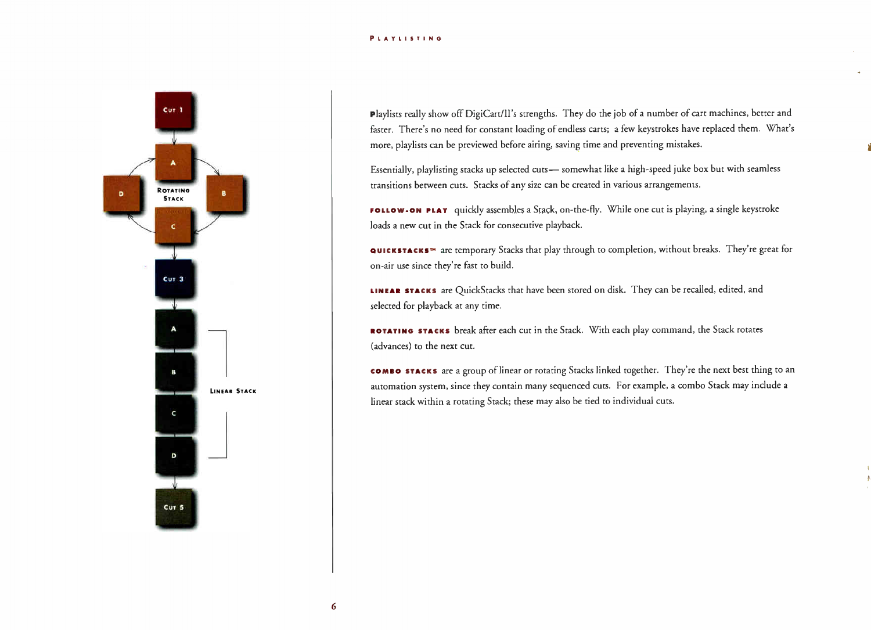#### **PLAYLISTING**



Playlists really show off DigiCart/II's strengths. They do the job of a number of cart machines, better and faster. There's no need for constant loading of endless carts; a few keystrokes have replaced them. What's more, playlists can be previewed before airing, saving time and preventing mistakes.

Essentially, playlisting stacks up selected cuts— somewhat like a high-speed juke box but with seamless transitions between cuts. Stacks of any size can be created in various arrangements.

FOLLOW-ON PLAY quickly assembles a Stack, on-the-fly. While one cut is playing, a single keystroke loads a new cut in the Stack for consecutive playback.

QUICKSTACKS™ are temporary Stacks that play through to completion, without breaks. They're great for on-air use since they're fast to build.

LINEAR STACKS are QuickStacks that have been stored on disk. They can be recalled, edited, and selected for playback at any time.

ROTATING STACKS break after each cut in the Stack. With each play command, the Stack rotates (advances) to the next cut.

comBo stacks are a group of linear or rotating Stacks linked together. They're the next best thing to an automation system, since they contain many sequenced cuts. For example, a combo Stack may include a linear stack within a rotating Stack; these may also be tied to individual cuts.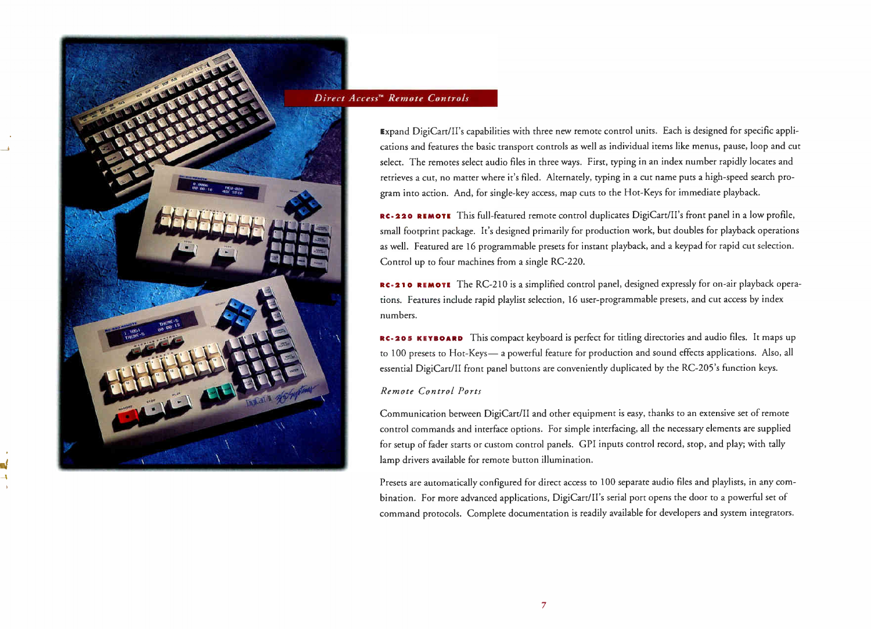

#### Direct Access<sup>\*</sup> Remote Controls

Expand DigiCart/II's capabilities with three new remote control units. Each is designed for specific applications and features the basic transport controls as well as individual items like menus, pause, loop and cut select. The remotes select audio files in three ways. First, typing in an index number rapidly locates and retrieves a cut, no matter where it's filed. Alternately, typing in a cut name puts a high-speed search program into action. And, for single-key access, map cuts to the Hot-Keys for immediate playback.

RC-220 REMOTE This full-featured remote control duplicates DigiCart/II's front panel in a low profile, small footprint package. It's designed primarily for production work, but doubles for playback operations as well. Featured are 16 programmable presets for instant playback, and a keypad for rapid cut selection. Control up to four machines from a single RC-220.

RC-210 REMOTE The RC-210 is a simplified control panel, designed expressly for on-air playback operations. Features include rapid playlist selection, 16 user-programmable presets, and cut access by index numbers.

RC-205 KEYBOARD This compact keyboard is perfect for titling directories and audio files. It maps up to 100 presets to Hot-Keys— a powerful feature for production and sound effects applications. Also, all essential DigiCart/II front panel buttons are conveniently duplicated by the RC-205's function keys.

#### Remote Control Ports

Communication between DigiCart/II and other equipment is easy, thanks to an extensive set of remote control commands and interface options. For simple interfacing, all the necessary elements are supplied for setup of fader starts or custom control panels. GPI inputs control record, stop, and play; with tally lamp drivers available for remote button illumination.

Presets are automatically configured for direct access to 100 separate audio files and playlists, in any combination. For more advanced applications, DigiCart/II's serial port opens the door to a powerful set of command protocols. Complete documentation is readily available for developers and system integrators.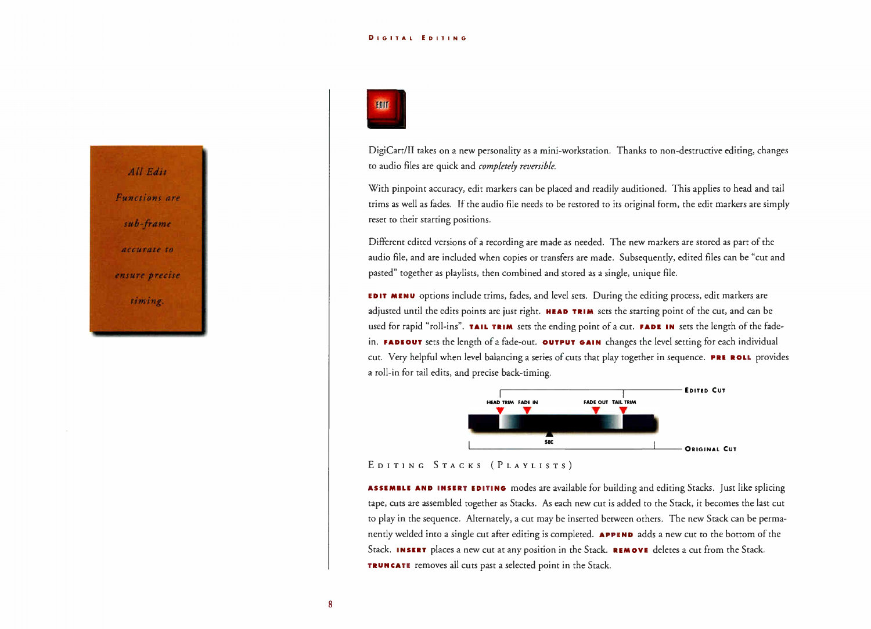#### DIGITAL EDITING





DigiCart/II takes on a new personality as a mini-workstation. Thanks to non-destructive editing, changes to audio files are quick and completely reversible.

With pinpoint accuracy, edit markers can be placed and readily auditioned. This applies to head and tail trims as well as fades. If the audio file needs to be restored to its original form, the edit markers are simply reset to their starting positions.

Different edited versions of a recording are made as needed. The new markers are stored as part of the audio file, and are included when copies or transfers are made. Subsequently, edited files can be "cut and pasted" together as playlists, then combined and stored as a single, unique file.

EDIT MENU options include trims, fades, and level sets. During the editing process, edit markers are adjusted until the edits points are just right. **HEAD TRIM** sets the starting point of the cut, and can be used for rapid "roll-ins". TAIL TRIM sets the ending point of a cut. FADE IN sets the length of the fadein. FADEOUT sets the length of a fade-out. OUTPUT GAIN changes the level setting for each individual cut. Very helpful when level balancing a series of cuts that play together in sequence. PRE ROLL provides a roll-in for tail edits, and precise back-timing.



#### EDITING STACKS (PLAYLISTS)

ASSEMBLE AND INSERT EDITING modes are available for building and editing Stacks. Just like splicing tape, cuts are assembled together as Stacks. As each new cut is added to the Stack, it becomes the last cut to play in the sequence. Alternately, a cut may be inserted between others. The new Stack can be permanently welded into a single cut after editing is completed. APPEND adds a new cut to the bottom of the Stack. INSERT places a new cut at any position in the Stack. REMOVE deletes a cut from the Stack. TRUNCATE removes all cuts past a selected point in the Stack.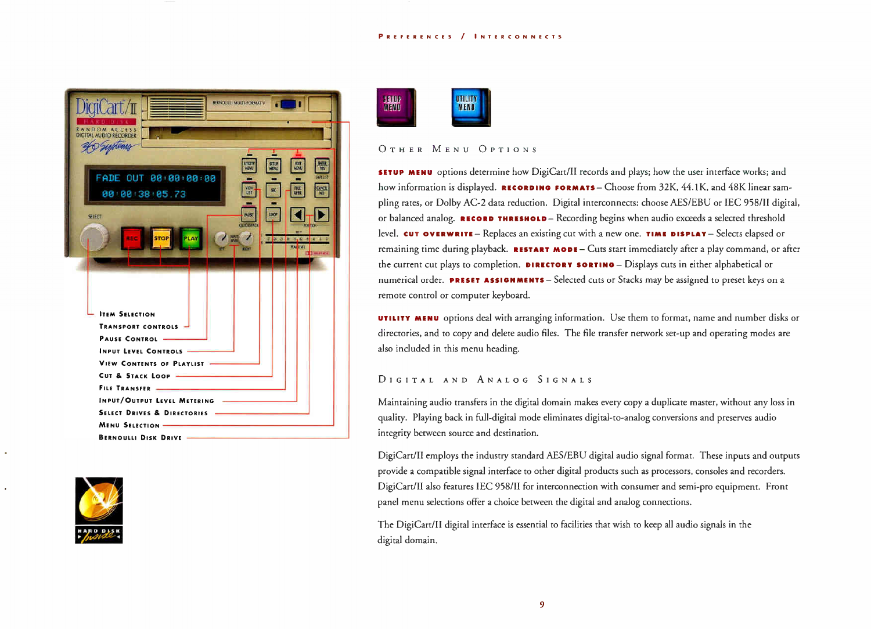#### REFERENCES / NTERCONNECTS

| iciCart/π<br>BERNOULLI MULTI-FORMAT V                                                                                                                                                         |
|-----------------------------------------------------------------------------------------------------------------------------------------------------------------------------------------------|
| ANDOM ACCESS<br>DIGITAL AUDIO RECORDER                                                                                                                                                        |
| <b>UTILITY</b><br>AENU<br><b>HDIT</b><br>MENU<br><b>INTER</b><br><b>SETUP</b><br>FADE OUT 00:00:00:00<br><b>SANT LIST</b><br><b>VEW</b><br>UST<br><b>CAMCE</b><br>雕羅<br>HC.<br>00:00:38:05.73 |
| 株収支<br>too<br><b>SELECT</b><br><b>QUELSTAD</b><br><b>POS TID</b>                                                                                                                              |
| $\overline{\phantom{a}}$<br>臘<br>REC<br><b>STOP</b><br>$27 - 27 - 14 - 13 - 12 - 4$<br>- d<br><b>MANAIVIL</b><br><b>DOM</b><br><b>Billian Print</b>                                           |
|                                                                                                                                                                                               |
| <b>ITEM SELECTION</b>                                                                                                                                                                         |
| <b>TRANSPORT CONTROLS</b>                                                                                                                                                                     |
| <b>PAUSE CONTROL</b>                                                                                                                                                                          |
| <b>INPUT LEVEL CONTROLS</b>                                                                                                                                                                   |
| <b>VIEW CONTENTS OF PLAYLIST</b>                                                                                                                                                              |
| <b>CUT &amp; STACK LOOP</b>                                                                                                                                                                   |
| <b>FILE TRANSFER</b>                                                                                                                                                                          |
| <b>INPUT/OUTPUT LEVEL METERING</b>                                                                                                                                                            |
| <b>SELECT DRIVES &amp; DIRECTORIES</b>                                                                                                                                                        |
| <b>MENU SELECTION:</b>                                                                                                                                                                        |
| <b>BERNOULLI DISK DRIVE</b>                                                                                                                                                                   |





#### OTHER MENU OPTIONS

SETUP MENU options determine how DigiCart/II records and plays; how the user interface works; and how information is displayed. RECORDING FORMATS - Choose from  $32K$ ,  $44.1K$ , and  $48K$  linear sampling rates, or Dolby AC-2 data reduction. Digital interconnects: choose AES/EBU or LEG 958/11 digital, or balanced analog. RECORD THRESHOLD - Recording begins when audio exceeds a selected threshold level. CUT OVERWRITE - Replaces an existing cut with a new one. TIME DISPLAY - Selects elapsed or remaining time during playback. RESTART MODE - Cuts start immediately after a play command, or after the current cut plays to completion. DIRECTORY SORTING - Displays cuts in either alphabetical or numerical order. PRESET ASSIGNMENTS - Selected cuts or Stacks may be assigned to preset keys on a remote control or computer keyboard.

**UTILITY MENU** options deal with arranging information. Use them to format, name and number disks or directories, and to copy and delete audio files. The file transfer network set-up and operating modes are also included in this menu heading.

#### DIGITAL AND ANALOG SIGNALS

Maintaining audio transfers in the digital domain makes every copy a duplicate master, without any loss in quality. Playing back in full-digital mode eliminates digital-to-analog conversions and preserves audio integrity between source and destination.

DigiCart/II employs the industry standard AES/EBU digital audio signal format. These inputs and outputs provide a compatible signal interface to other digital products such as processors, consoles and recorders. DigiCart/II also features IEC 958/11 for interconnection with consumer and semi-pro equipment. Front panel menu selections offer a choice between the digital and analog connections.

The DigiCart/II digital interface is essential to facilities that wish to keep all audio signals in the digital domain.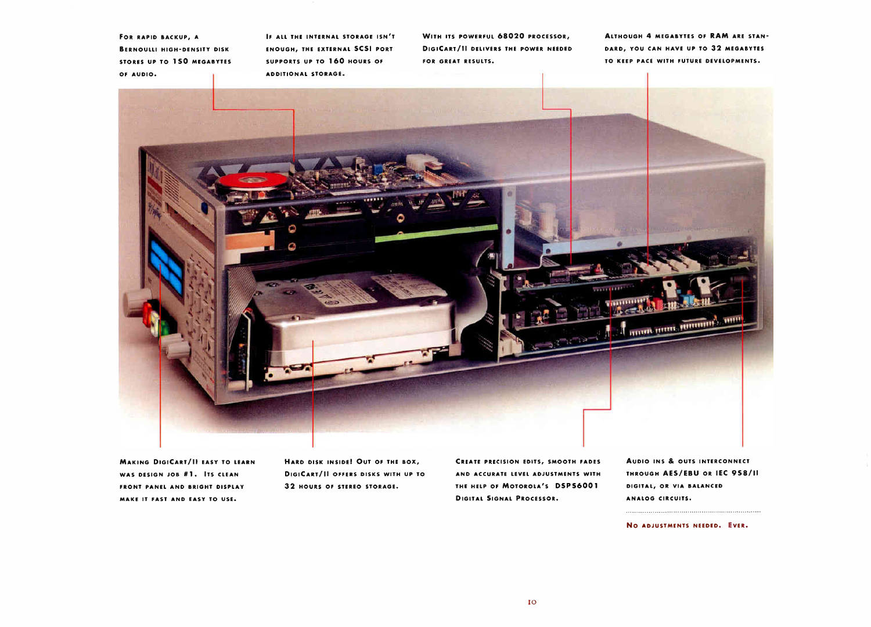FOR RAPID BACKUP, A ERNOULLI HIGH-DENSITY DISK STORES UP TO 150 MEGABYTES OF AUDIO.

F ALL THE INTERNAL STORAGE ISN'T ENOUGH, THE EXTERNAL SCSI PORT SUPPORTS UP TO 160 HOURS OF ADDITIONAL S FORAGE.

WITH ITS POWERFUL 68020 PROCESSOR, DIGICART/ II DELIVERS THE POWER NEEDED FOR GREAT RESULTS.

ALTHOUGH 4 MEGABYTES OF RAM ARE STAN-DARD, YOU CAN HAVE UP TO 32 MEGABYTES TO KEEP PACE WITH FUTURE DEVELOPMENTS.



**MAKING DIGICART/II EASY TO LEARN** WAS DESIGN JOB #1. ITS CLEAN FRONT PANEL AND BRIGHT DISPLAY MAKE IT FAST AND EASY TO USE.

HARD DISK INSIDE! OUT OF THE BOX, DIGICART/II OFFERS DISKS WITH UP TO 32 HOURS OF STEREO STORAGE.

CREATE PRECISION EDITS, SMOOTH FADES AND ACCURATE LEVEL ADJUSTMENTS WITH THE HELP OF MOTOROLA'S DSPS6001 DIGITAL SIGNAL PROCESSOR.

AUDIO INS & OUTS INTERCONNECT THROUGH AES/EBU OR IEC 958/II DIGITAL, OR VIA BALANCED ANALOG CIRCUITS.

NO ADJUSTMENTS NEEDED. EVER.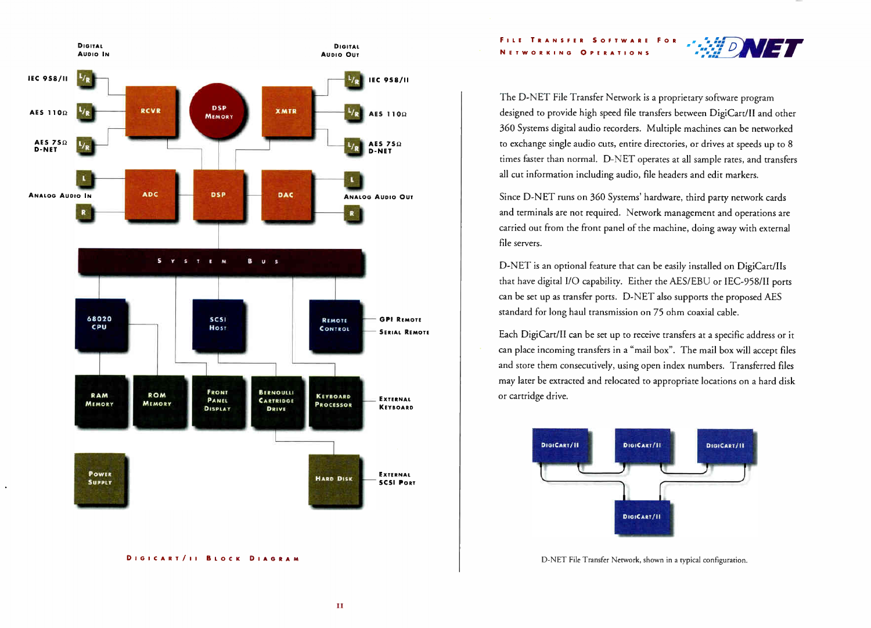FILE TRANSFER SOFTWARE FOR NETWORKING OPERATIONS



The D-NET File Transfer Network is a proprietary software program designed to provide high speed file transfers between DigiCart/II and other 360 Systems digital audio recorders. Multiple machines can be networked to exchange single audio cuts, entire directories, or drives at speeds up to 8 times faster than normal. D-NET operates at all sample rates, and transfers all cut information including audio, file headers and edit markers.

Since D-NET runs on 360 Systems' hardware, third parry network cards and terminals are not required. Network management and operations are carried out from the front panel of the machine, doing away with external file servers.

D-NET is an optional feature that can be easily installed on DigiCart/IIs that have digital I/O capability. Either the AES/EBU or IEC-958/II ports can be set up as transfer ports. D-NET also supports the proposed AES standard for long haul transmission on 75 ohm coaxial cable.

Each DigiCart/II can be set up to receive transfers at a specific address or it can place incoming transfers in a "mail box". The mail box will accept files and store them consecutively, using open index numbers. Transferred files may later be extracted and relocated to appropriate locations on a hard disk or cartridge drive.



D-NET File Transfer Network, shown in a typical configuration.



DIGICART/II BLOCK DIAGRAM